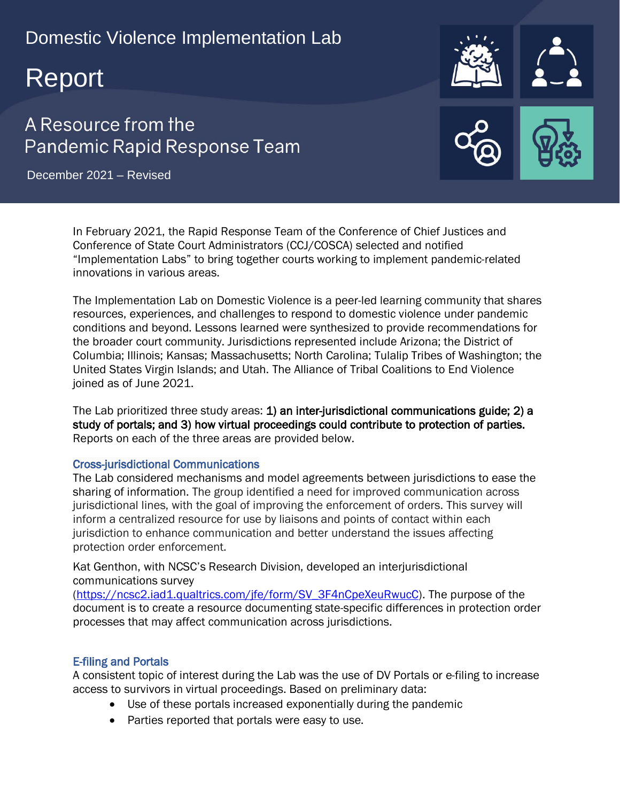# Domestic Violence Implementation Lab

# Report

# A Resource from the Pandemic Rapid Response Team

December 2021 – Revised

In February 2021, the Rapid Response Team of the Conference of Chief Justices and Conference of State Court Administrators (CCJ/COSCA) selected and notified "Implementation Labs" to bring together courts working to implement pandemic-related innovations in various areas.

The Implementation Lab on Domestic Violence is a peer-led learning community that shares resources, experiences, and challenges to respond to domestic violence under pandemic conditions and beyond. Lessons learned were synthesized to provide recommendations for the broader court community. Jurisdictions represented include Arizona; the District of Columbia; Illinois; Kansas; Massachusetts; North Carolina; Tulalip Tribes of Washington; the United States Virgin Islands; and Utah. The Alliance of Tribal Coalitions to End Violence joined as of June 2021.

The Lab prioritized three study areas: 1) an inter-jurisdictional communications guide; 2) a study of portals; and 3) how virtual proceedings could contribute to protection of parties. Reports on each of the three areas are provided below.

#### Cross-jurisdictional Communications

The Lab considered mechanisms and model agreements between jurisdictions to ease the sharing of information. The group identified a need for improved communication across jurisdictional lines, with the goal of improving the enforcement of orders. This survey will inform a centralized resource for use by liaisons and points of contact within each jurisdiction to enhance communication and better understand the issues affecting protection order enforcement.

Kat Genthon, with NCSC's Research Division, developed an interjurisdictional communications survey

[\(https://ncsc2.iad1.qualtrics.com/jfe/form/SV\\_3F4nCpeXeuRwucC\)](https://ncsc2.iad1.qualtrics.com/jfe/form/SV_3F4nCpeXeuRwucC). The purpose of the document is to create a resource documenting state-specific differences in protection order processes that may affect communication across jurisdictions.

#### E-filing and Portals

A consistent topic of interest during the Lab was the use of DV Portals or e-filing to increase access to survivors in virtual proceedings. Based on preliminary data:

- Use of these portals increased exponentially during the pandemic
- Parties reported that portals were easy to use.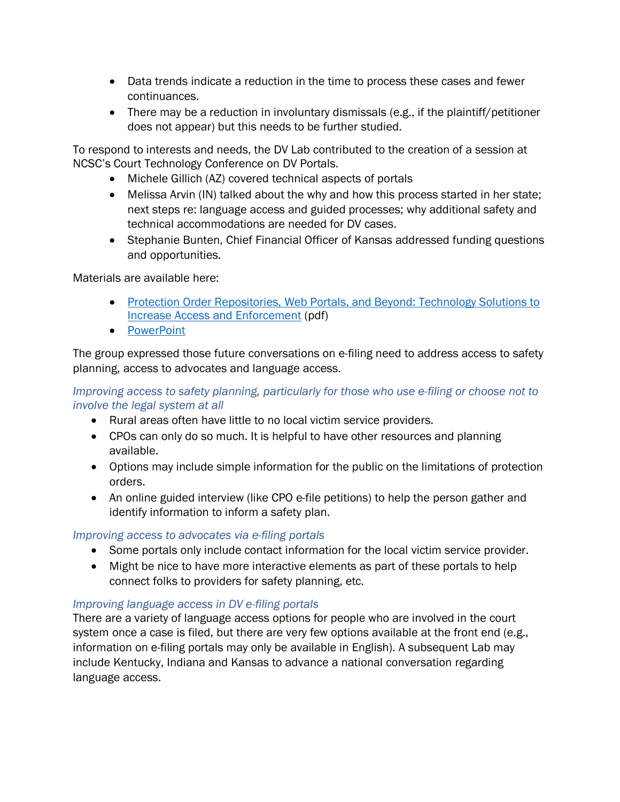- Data trends indicate a reduction in the time to process these cases and fewer continuances.
- There may be a reduction in involuntary dismissals (e.g., if the plaintiff/petitioner does not appear) but this needs to be further studied.

To respond to interests and needs, the DV Lab contributed to the creation of a session at NCSC's Court Technology Conference on DV Portals.

- Michele Gillich (AZ) covered technical aspects of portals
- Melissa Arvin (IN) talked about the why and how this process started in her state; next steps re: language access and guided processes; why additional safety and technical accommodations are needed for DV cases.
- Stephanie Bunten, Chief Financial Officer of Kansas addressed funding questions and opportunities.

Materials are available here:

- Protection Order Repositories, Web Portals, and Beyond: Technology Solutions to [Increase Access and Enforcement](https://ncsc.contentdm.oclc.org/digital/collection/tech/id/947) (pdf)
- [PowerPoint](https://nationalcenterforstatecourts.box.com/s/0i808n8ikicf1vjpi3mlw0e1e95ls1ts)

The group expressed those future conversations on e-filing need to address access to safety planning, access to advocates and language access.

#### *Improving access to safety planning, particularly for those who use e-filing or choose not to involve the legal system at all*

- Rural areas often have little to no local victim service providers.
- CPOs can only do so much. It is helpful to have other resources and planning available.
- Options may include simple information for the public on the limitations of protection orders.
- An online guided interview (like CPO e-file petitions) to help the person gather and identify information to inform a safety plan.

## *Improving access to advocates via e-filing portals*

- Some portals only include contact information for the local victim service provider.
- Might be nice to have more interactive elements as part of these portals to help connect folks to providers for safety planning, etc.

## *Improving language access in DV e-filing portals*

There are a variety of language access options for people who are involved in the court system once a case is filed, but there are very few options available at the front end (e.g., information on e-filing portals may only be available in English). A subsequent Lab may include Kentucky, Indiana and Kansas to advance a national conversation regarding language access.